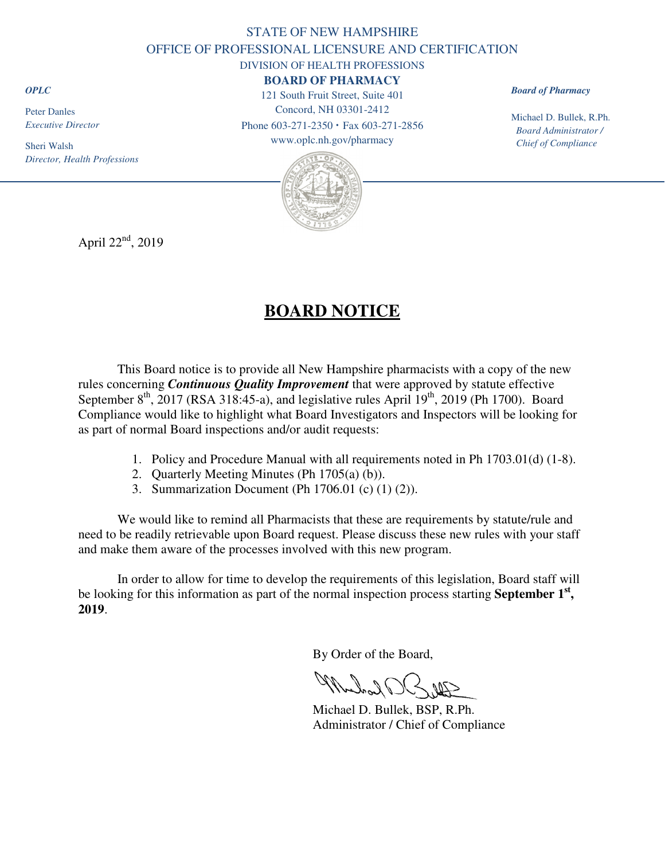# STATE OF NEW HAMPSHIRE OFFICE OF PROFESSIONAL LICENSURE AND CERTIFICATION DIVISION OF HEALTH PROFESSIONS

# **BOARD OF PHARMACY**

121 South Fruit Street, Suite 401 Concord, NH 03301-2412

Phone 603-271-2350 **·** Fax 603-271-2856 www.oplc.nh.gov/pharmacy

*Board of Pharmacy*

Michael D. Bullek, R.Ph. *Board Administrator / Chief of Compliance* 



April  $22<sup>nd</sup>$ , 2019

# **BOARD NOTICE**

This Board notice is to provide all New Hampshire pharmacists with a copy of the new rules concerning *Continuous Quality Improvement* that were approved by statute effective September 8<sup>th</sup>, 2017 (RSA 318:45-a), and legislative rules April 19<sup>th</sup>, 2019 (Ph 1700). Board Compliance would like to highlight what Board Investigators and Inspectors will be looking for as part of normal Board inspections and/or audit requests:

- 1. Policy and Procedure Manual with all requirements noted in Ph 1703.01(d) (1-8).
- 2. Quarterly Meeting Minutes (Ph 1705(a) (b)).
- 3. Summarization Document (Ph 1706.01 (c) (1) (2)).

We would like to remind all Pharmacists that these are requirements by statute/rule and need to be readily retrievable upon Board request. Please discuss these new rules with your staff and make them aware of the processes involved with this new program.

In order to allow for time to develop the requirements of this legislation, Board staff will be looking for this information as part of the normal inspection process starting **September 1st , 2019**.

By Order of the Board,

Muchael OR

 Michael D. Bullek, BSP, R.Ph. Administrator / Chief of Compliance

*OPLC*

Peter Danles *Executive Director* 

Sheri Walsh

*Director, Health Professions*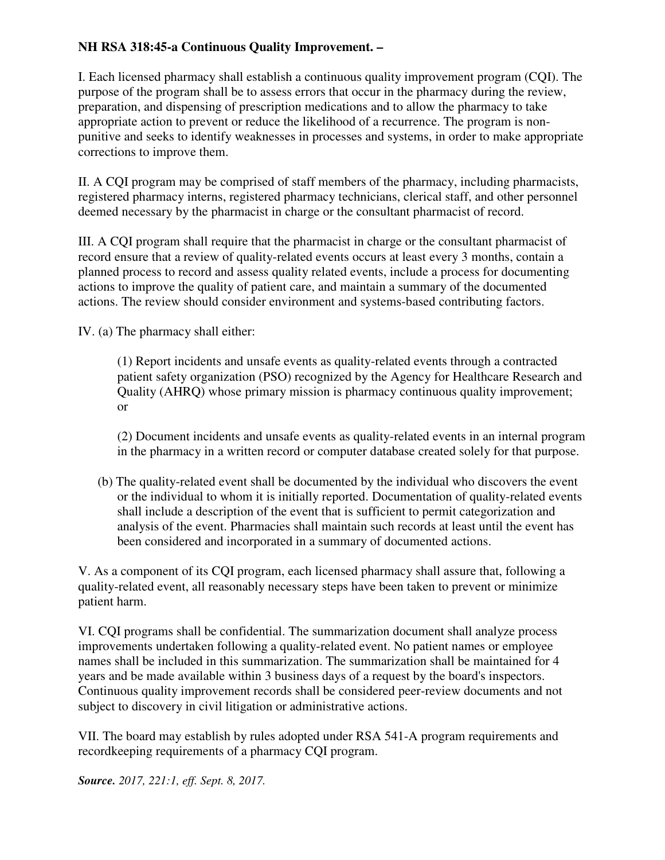# **NH RSA 318:45-a Continuous Quality Improvement. –**

I. Each licensed pharmacy shall establish a continuous quality improvement program (CQI). The purpose of the program shall be to assess errors that occur in the pharmacy during the review, preparation, and dispensing of prescription medications and to allow the pharmacy to take appropriate action to prevent or reduce the likelihood of a recurrence. The program is nonpunitive and seeks to identify weaknesses in processes and systems, in order to make appropriate corrections to improve them.

II. A CQI program may be comprised of staff members of the pharmacy, including pharmacists, registered pharmacy interns, registered pharmacy technicians, clerical staff, and other personnel deemed necessary by the pharmacist in charge or the consultant pharmacist of record.

III. A CQI program shall require that the pharmacist in charge or the consultant pharmacist of record ensure that a review of quality-related events occurs at least every 3 months, contain a planned process to record and assess quality related events, include a process for documenting actions to improve the quality of patient care, and maintain a summary of the documented actions. The review should consider environment and systems-based contributing factors.

IV. (a) The pharmacy shall either:

(1) Report incidents and unsafe events as quality-related events through a contracted patient safety organization (PSO) recognized by the Agency for Healthcare Research and Quality (AHRQ) whose primary mission is pharmacy continuous quality improvement; or

(2) Document incidents and unsafe events as quality-related events in an internal program in the pharmacy in a written record or computer database created solely for that purpose.

(b) The quality-related event shall be documented by the individual who discovers the event or the individual to whom it is initially reported. Documentation of quality-related events shall include a description of the event that is sufficient to permit categorization and analysis of the event. Pharmacies shall maintain such records at least until the event has been considered and incorporated in a summary of documented actions.

V. As a component of its CQI program, each licensed pharmacy shall assure that, following a quality-related event, all reasonably necessary steps have been taken to prevent or minimize patient harm.

VI. CQI programs shall be confidential. The summarization document shall analyze process improvements undertaken following a quality-related event. No patient names or employee names shall be included in this summarization. The summarization shall be maintained for 4 years and be made available within 3 business days of a request by the board's inspectors. Continuous quality improvement records shall be considered peer-review documents and not subject to discovery in civil litigation or administrative actions.

VII. The board may establish by rules adopted under RSA 541-A program requirements and recordkeeping requirements of a pharmacy CQI program.

*Source. 2017, 221:1, eff. Sept. 8, 2017.*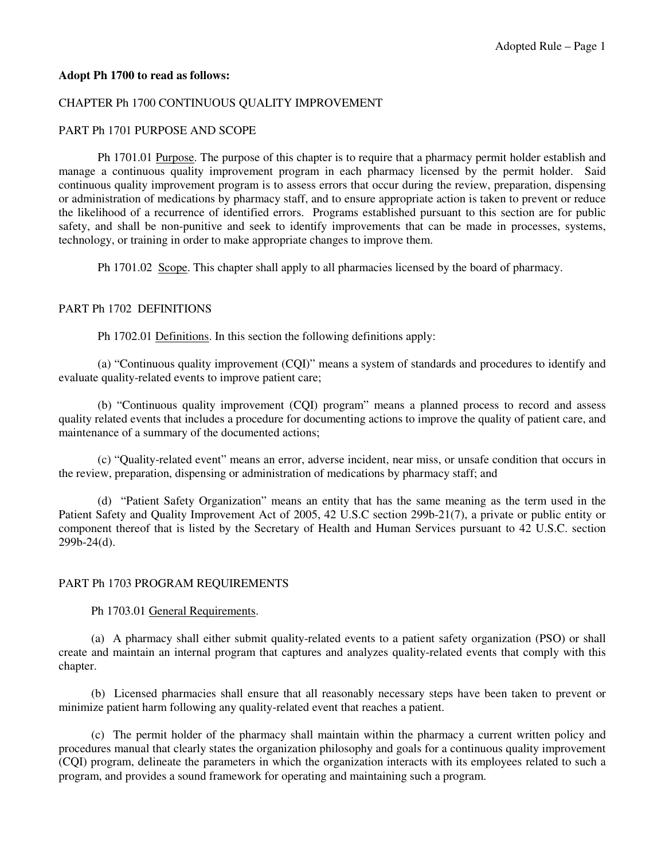#### **Adopt Ph 1700 to read as follows:**

#### CHAPTER Ph 1700 CONTINUOUS QUALITY IMPROVEMENT

#### PART Ph 1701 PURPOSE AND SCOPE

 Ph 1701.01 Purpose. The purpose of this chapter is to require that a pharmacy permit holder establish and manage a continuous quality improvement program in each pharmacy licensed by the permit holder. Said continuous quality improvement program is to assess errors that occur during the review, preparation, dispensing or administration of medications by pharmacy staff, and to ensure appropriate action is taken to prevent or reduce the likelihood of a recurrence of identified errors. Programs established pursuant to this section are for public safety, and shall be non-punitive and seek to identify improvements that can be made in processes, systems, technology, or training in order to make appropriate changes to improve them.

Ph 1701.02 Scope. This chapter shall apply to all pharmacies licensed by the board of pharmacy.

#### PART Ph 1702 DEFINITIONS

Ph 1702.01 Definitions. In this section the following definitions apply:

(a) "Continuous quality improvement (CQI)" means a system of standards and procedures to identify and evaluate quality-related events to improve patient care;

 (b) "Continuous quality improvement (CQI) program" means a planned process to record and assess quality related events that includes a procedure for documenting actions to improve the quality of patient care, and maintenance of a summary of the documented actions;

 (c) "Quality-related event" means an error, adverse incident, near miss, or unsafe condition that occurs in the review, preparation, dispensing or administration of medications by pharmacy staff; and

 (d) "Patient Safety Organization" means an entity that has the same meaning as the term used in the Patient Safety and Quality Improvement Act of 2005, 42 U.S.C section 299b-21(7), a private or public entity or component thereof that is listed by the Secretary of Health and Human Services pursuant to 42 U.S.C. section 299b-24(d).

## PART Ph 1703 PROGRAM REQUIREMENTS

Ph 1703.01 General Requirements.

(a) A pharmacy shall either submit quality-related events to a patient safety organization (PSO) or shall create and maintain an internal program that captures and analyzes quality-related events that comply with this chapter.

(b) Licensed pharmacies shall ensure that all reasonably necessary steps have been taken to prevent or minimize patient harm following any quality-related event that reaches a patient.

(c) The permit holder of the pharmacy shall maintain within the pharmacy a current written policy and procedures manual that clearly states the organization philosophy and goals for a continuous quality improvement (CQI) program, delineate the parameters in which the organization interacts with its employees related to such a program, and provides a sound framework for operating and maintaining such a program.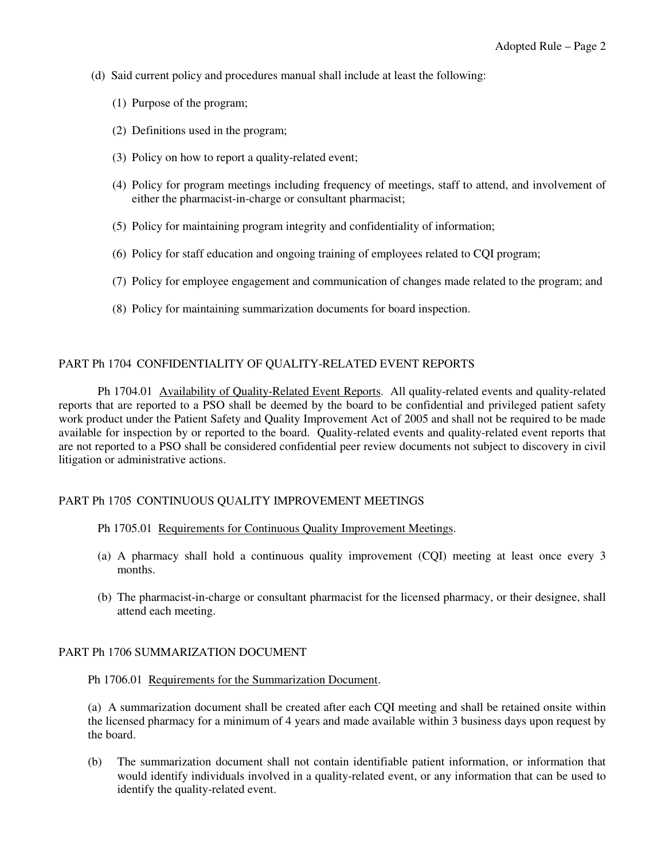- (d) Said current policy and procedures manual shall include at least the following:
	- (1) Purpose of the program;
	- (2) Definitions used in the program;
	- (3) Policy on how to report a quality-related event;
	- (4) Policy for program meetings including frequency of meetings, staff to attend, and involvement of either the pharmacist-in-charge or consultant pharmacist;
	- (5) Policy for maintaining program integrity and confidentiality of information;
	- (6) Policy for staff education and ongoing training of employees related to CQI program;
	- (7) Policy for employee engagement and communication of changes made related to the program; and
	- (8) Policy for maintaining summarization documents for board inspection.

## PART Ph 1704 CONFIDENTIALITY OF QUALITY-RELATED EVENT REPORTS

Ph 1704.01 Availability of Quality-Related Event Reports. All quality-related events and quality-related reports that are reported to a PSO shall be deemed by the board to be confidential and privileged patient safety work product under the Patient Safety and Quality Improvement Act of 2005 and shall not be required to be made available for inspection by or reported to the board. Quality-related events and quality-related event reports that are not reported to a PSO shall be considered confidential peer review documents not subject to discovery in civil litigation or administrative actions.

## PART Ph 1705 CONTINUOUS QUALITY IMPROVEMENT MEETINGS

## Ph 1705.01 Requirements for Continuous Quality Improvement Meetings.

- (a) A pharmacy shall hold a continuous quality improvement (CQI) meeting at least once every 3 months.
- (b) The pharmacist-in-charge or consultant pharmacist for the licensed pharmacy, or their designee, shall attend each meeting.

## PART Ph 1706 SUMMARIZATION DOCUMENT

Ph 1706.01 Requirements for the Summarization Document.

(a) A summarization document shall be created after each CQI meeting and shall be retained onsite within the licensed pharmacy for a minimum of 4 years and made available within 3 business days upon request by the board.

(b) The summarization document shall not contain identifiable patient information, or information that would identify individuals involved in a quality-related event, or any information that can be used to identify the quality-related event.